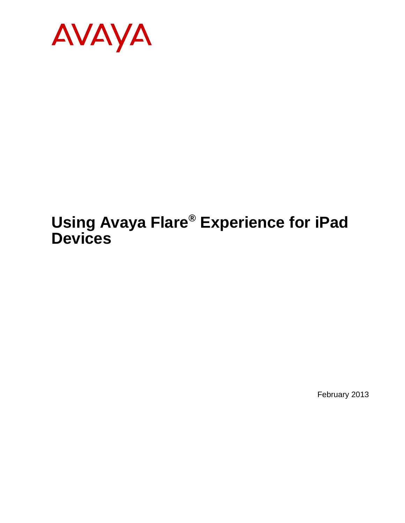

# **Using Avaya Flare® Experience for iPad Devices**

February 2013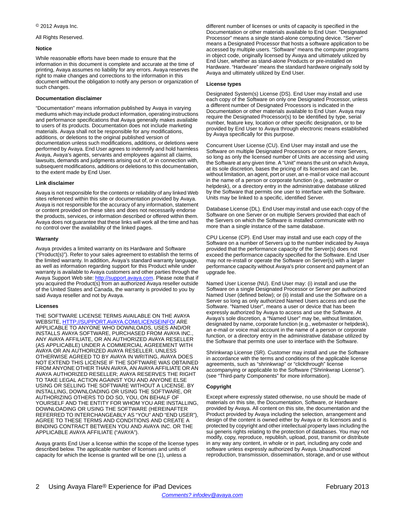All Rights Reserved.

#### **Notice**

While reasonable efforts have been made to ensure that the information in this document is complete and accurate at the time of printing, Avaya assumes no liability for any errors. Avaya reserves the right to make changes and corrections to the information in this document without the obligation to notify any person or organization of such changes.

#### **Documentation disclaimer**

"Documentation" means information published by Avaya in varying mediums which may include product information, operating instructions and performance specifications that Avaya generally makes available to users of its products. Documentation does not include marketing materials. Avaya shall not be responsible for any modifications, additions, or deletions to the original published version of documentation unless such modifications, additions, or deletions were performed by Avaya. End User agrees to indemnify and hold harmless Avaya, Avaya's agents, servants and employees against all claims, lawsuits, demands and judgments arising out of, or in connection with, subsequent modifications, additions or deletions to this documentation, to the extent made by End User.

#### **Link disclaimer**

Avaya is not responsible for the contents or reliability of any linked Web sites referenced within this site or documentation provided by Avaya. Avaya is not responsible for the accuracy of any information, statement or content provided on these sites and does not necessarily endorse the products, services, or information described or offered within them. Avaya does not guarantee that these links will work all the time and has no control over the availability of the linked pages.

#### **Warranty**

Avaya provides a limited warranty on its Hardware and Software ("Product(s)"). Refer to your sales agreement to establish the terms of the limited warranty. In addition, Avaya's standard warranty language, as well as information regarding support for this Product while under warranty is available to Avaya customers and other parties through the Avaya Support Web site: [http://support.avaya.com.](http://support.avaya.com) Please note that if you acquired the Product(s) from an authorized Avaya reseller outside of the United States and Canada, the warranty is provided to you by said Avaya reseller and not by Avaya.

#### **Licenses**

THE SOFTWARE LICENSE TERMS AVAILABLE ON THE AVAYA WEBSITE, [HTTP://SUPPORT.AVAYA.COM/LICENSEINFO/](http://www.avaya.com/support/LicenseInfo) ARE APPLICABLE TO ANYONE WHO DOWNLOADS, USES AND/OR INSTALLS AVAYA SOFTWARE, PURCHASED FROM AVAYA INC., ANY AVAYA AFFILIATE, OR AN AUTHORIZED AVAYA RESELLER (AS APPLICABLE) UNDER A COMMERCIAL AGREEMENT WITH AVAYA OR AN AUTHORIZED AVAYA RESELLER. UNLESS OTHERWISE AGREED TO BY AVAYA IN WRITING, AVAYA DOES NOT EXTEND THIS LICENSE IF THE SOFTWARE WAS OBTAINED FROM ANYONE OTHER THAN AVAYA, AN AVAYA AFFILIATE OR AN AVAYA AUTHORIZED RESELLER; AVAYA RESERVES THE RIGHT TO TAKE LEGAL ACTION AGAINST YOU AND ANYONE ELSE USING OR SELLING THE SOFTWARE WITHOUT A LICENSE. BY INSTALLING, DOWNLOADING OR USING THE SOFTWARE, OR AUTHORIZING OTHERS TO DO SO, YOU, ON BEHALF OF YOURSELF AND THE ENTITY FOR WHOM YOU ARE INSTALLING, DOWNLOADING OR USING THE SOFTWARE (HEREINAFTER REFERRED TO INTERCHANGEABLY AS "YOU" AND "END USER"), AGREE TO THESE TERMS AND CONDITIONS AND CREATE A BINDING CONTRACT BETWEEN YOU AND AVAYA INC. OR THE APPLICABLE AVAYA AFFILIATE ("AVAYA").

Avaya grants End User a license within the scope of the license types described below. The applicable number of licenses and units of capacity for which the license is granted will be one (1), unless a

different number of licenses or units of capacity is specified in the Documentation or other materials available to End User. "Designated Processor" means a single stand-alone computing device. "Server" means a Designated Processor that hosts a software application to be accessed by multiple users. "Software" means the computer programs in object code, originally licensed by Avaya and ultimately utilized by End User, whether as stand-alone Products or pre-installed on Hardware. "Hardware" means the standard hardware originally sold by Avaya and ultimately utilized by End User.

#### **License types**

Designated System(s) License (DS). End User may install and use each copy of the Software on only one Designated Processor, unless a different number of Designated Processors is indicated in the Documentation or other materials available to End User. Avaya may require the Designated Processor(s) to be identified by type, serial number, feature key, location or other specific designation, or to be provided by End User to Avaya through electronic means established by Avaya specifically for this purpose.

Concurrent User License (CU). End User may install and use the Software on multiple Designated Processors or one or more Servers, so long as only the licensed number of Units are accessing and using the Software at any given time. A "Unit" means the unit on which Avaya, at its sole discretion, bases the pricing of its licenses and can be, without limitation, an agent, port or user, an e-mail or voice mail account in the name of a person or corporate function (e.g., webmaster or helpdesk), or a directory entry in the administrative database utilized by the Software that permits one user to interface with the Software. Units may be linked to a specific, identified Server.

Database License (DL). End User may install and use each copy of the Software on one Server or on multiple Servers provided that each of the Servers on which the Software is installed communicate with no more than a single instance of the same database.

CPU License (CP). End User may install and use each copy of the Software on a number of Servers up to the number indicated by Avaya provided that the performance capacity of the Server(s) does not exceed the performance capacity specified for the Software. End User may not re-install or operate the Software on Server(s) with a larger performance capacity without Avaya's prior consent and payment of an upgrade fee.

Named User License (NU). End User may: (i) install and use the Software on a single Designated Processor or Server per authorized Named User (defined below); or (ii) install and use the Software on a Server so long as only authorized Named Users access and use the Software. "Named User", means a user or device that has been expressly authorized by Avaya to access and use the Software. At Avaya's sole discretion, a "Named User" may be, without limitation, designated by name, corporate function (e.g., webmaster or helpdesk), an e-mail or voice mail account in the name of a person or corporate function, or a directory entry in the administrative database utilized by the Software that permits one user to interface with the Software.

Shrinkwrap License (SR). Customer may install and use the Software in accordance with the terms and conditions of the applicable license agreements, such as "shrinkwrap" or "clickthrough" license accompanying or applicable to the Software ("Shrinkwrap License"). (see "Third-party Components" for more information).

#### **Copyright**

Except where expressly stated otherwise, no use should be made of materials on this site, the Documentation, Software, or Hardware provided by Avaya. All content on this site, the documentation and the Product provided by Avaya including the selection, arrangement and design of the content is owned either by Avaya or its licensors and is protected by copyright and other intellectual property laws including the sui generis rights relating to the protection of databases. You may not modify, copy, reproduce, republish, upload, post, transmit or distribute in any way any content, in whole or in part, including any code and software unless expressly authorized by Avaya. Unauthorized reproduction, transmission, dissemination, storage, and or use without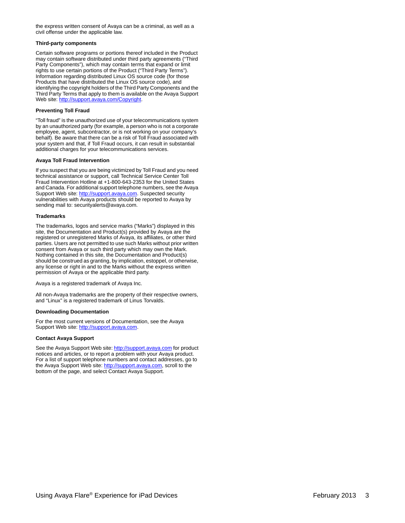the express written consent of Avaya can be a criminal, as well as a civil offense under the applicable law.

#### **Third-party components**

Certain software programs or portions thereof included in the Product may contain software distributed under third party agreements ("Third Party Components"), which may contain terms that expand or limit rights to use certain portions of the Product ("Third Party Terms"). Information regarding distributed Linux OS source code (for those Products that have distributed the Linux OS source code), and identifying the copyright holders of the Third Party Components and the Third Party Terms that apply to them is available on the Avaya Support Web site:<http://support.avaya.com/Copyright>.

#### **Preventing Toll Fraud**

"Toll fraud" is the unauthorized use of your telecommunications system by an unauthorized party (for example, a person who is not a corporate employee, agent, subcontractor, or is not working on your company's behalf). Be aware that there can be a risk of Toll Fraud associated with your system and that, if Toll Fraud occurs, it can result in substantial additional charges for your telecommunications services.

#### **Avaya Toll Fraud Intervention**

If you suspect that you are being victimized by Toll Fraud and you need technical assistance or support, call Technical Service Center Toll Fraud Intervention Hotline at +1-800-643-2353 for the United States and Canada. For additional support telephone numbers, see the Avaya Support Web site: <http://support.avaya.com>. Suspected security vulnerabilities with Avaya products should be reported to Avaya by sending mail to: securityalerts@avaya.com.

#### **Trademarks**

The trademarks, logos and service marks ("Marks") displayed in this site, the Documentation and Product(s) provided by Avaya are the registered or unregistered Marks of Avaya, its affiliates, or other third parties. Users are not permitted to use such Marks without prior written consent from Avaya or such third party which may own the Mark. Nothing contained in this site, the Documentation and Product(s) should be construed as granting, by implication, estoppel, or otherwise, any license or right in and to the Marks without the express written permission of Avaya or the applicable third party.

Avaya is a registered trademark of Avaya Inc.

All non-Avaya trademarks are the property of their respective owners, and "Linux" is a registered trademark of Linus Torvalds.

#### **Downloading Documentation**

For the most current versions of Documentation, see the Avaya Support Web site: <http://support.avaya.com>.

#### **Contact Avaya Support**

See the Avaya Support Web site:<http://support.avaya.com>for product notices and articles, or to report a problem with your Avaya product. For a list of support telephone numbers and contact addresses, go to the Avaya Support Web site: [http://support.avaya.com,](http://support.avaya.com) scroll to the bottom of the page, and select Contact Avaya Support.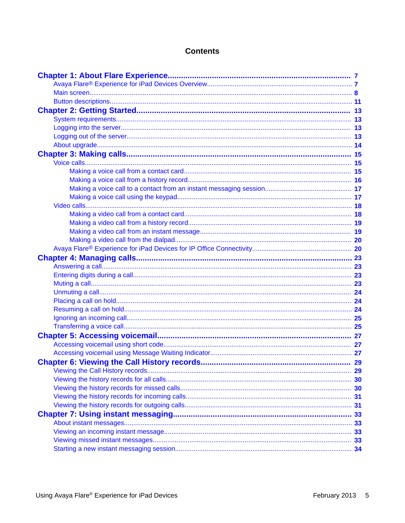## **Contents**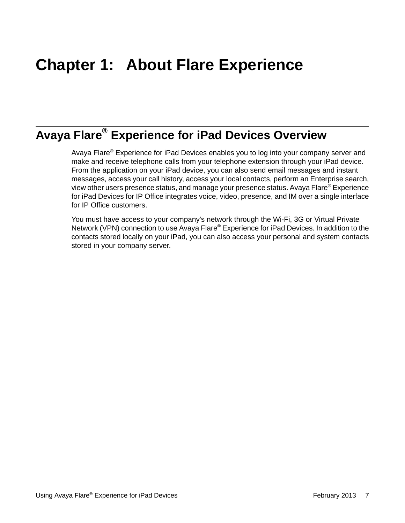# <span id="page-6-0"></span>**Chapter 1: About Flare Experience**

## **Avaya Flare® Experience for iPad Devices Overview**

Avaya Flare® Experience for iPad Devices enables you to log into your company server and make and receive telephone calls from your telephone extension through your iPad device. From the application on your iPad device, you can also send email messages and instant messages, access your call history, access your local contacts, perform an Enterprise search, view other users presence status, and manage your presence status. Avaya Flare® Experience for iPad Devices for IP Office integrates voice, video, presence, and IM over a single interface for IP Office customers.

You must have access to your company's network through the Wi-Fi, 3G or Virtual Private Network (VPN) connection to use Avaya Flare® Experience for iPad Devices. In addition to the contacts stored locally on your iPad, you can also access your personal and system contacts stored in your company server.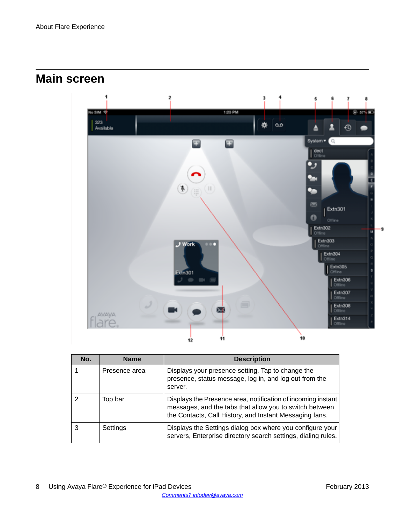## <span id="page-7-0"></span>**Main screen**



| No. | <b>Name</b>   | <b>Description</b>                                                                                                                                                                 |
|-----|---------------|------------------------------------------------------------------------------------------------------------------------------------------------------------------------------------|
|     | Presence area | Displays your presence setting. Tap to change the<br>presence, status message, log in, and log out from the<br>server.                                                             |
|     | Top bar       | Displays the Presence area, notification of incoming instant<br>messages, and the tabs that allow you to switch between<br>the Contacts, Call History, and Instant Messaging fans. |
|     | Settings      | Displays the Settings dialog box where you configure your<br>servers, Enterprise directory search settings, dialing rules,                                                         |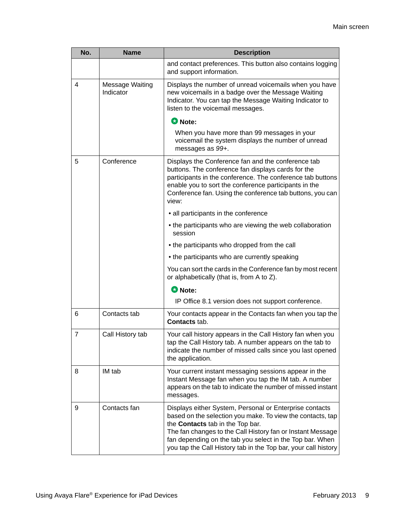| No.            | <b>Name</b>                         | <b>Description</b>                                                                                                                                                                                                                                                                                                                                    |  |
|----------------|-------------------------------------|-------------------------------------------------------------------------------------------------------------------------------------------------------------------------------------------------------------------------------------------------------------------------------------------------------------------------------------------------------|--|
|                |                                     | and contact preferences. This button also contains logging<br>and support information.                                                                                                                                                                                                                                                                |  |
| 4              | <b>Message Waiting</b><br>Indicator | Displays the number of unread voicemails when you have<br>new voicemails in a badge over the Message Waiting<br>Indicator. You can tap the Message Waiting Indicator to<br>listen to the voicemail messages.                                                                                                                                          |  |
|                |                                     | <b>O</b> Note:                                                                                                                                                                                                                                                                                                                                        |  |
|                |                                     | When you have more than 99 messages in your<br>voicemail the system displays the number of unread<br>messages as 99+.                                                                                                                                                                                                                                 |  |
| 5              | Conference                          | Displays the Conference fan and the conference tab<br>buttons. The conference fan displays cards for the<br>participants in the conference. The conference tab buttons<br>enable you to sort the conference participants in the<br>Conference fan. Using the conference tab buttons, you can<br>view:                                                 |  |
|                |                                     | • all participants in the conference                                                                                                                                                                                                                                                                                                                  |  |
|                |                                     | • the participants who are viewing the web collaboration<br>session                                                                                                                                                                                                                                                                                   |  |
|                |                                     | • the participants who dropped from the call                                                                                                                                                                                                                                                                                                          |  |
|                |                                     | • the participants who are currently speaking                                                                                                                                                                                                                                                                                                         |  |
|                |                                     | You can sort the cards in the Conference fan by most recent<br>or alphabetically (that is, from A to Z).                                                                                                                                                                                                                                              |  |
|                |                                     | <b>O</b> Note:                                                                                                                                                                                                                                                                                                                                        |  |
|                |                                     | IP Office 8.1 version does not support conference.                                                                                                                                                                                                                                                                                                    |  |
| 6              | Contacts tab                        | Your contacts appear in the Contacts fan when you tap the<br><b>Contacts tab.</b>                                                                                                                                                                                                                                                                     |  |
| $\overline{7}$ | Call History tab                    | Your call history appears in the Call History fan when you<br>tap the Call History tab. A number appears on the tab to<br>indicate the number of missed calls since you last opened<br>the application.                                                                                                                                               |  |
| 8              | IM tab                              | Your current instant messaging sessions appear in the<br>Instant Message fan when you tap the IM tab. A number<br>appears on the tab to indicate the number of missed instant<br>messages.                                                                                                                                                            |  |
| 9              | Contacts fan                        | Displays either System, Personal or Enterprise contacts<br>based on the selection you make. To view the contacts, tap<br>the Contacts tab in the Top bar.<br>The fan changes to the Call History fan or Instant Message<br>fan depending on the tab you select in the Top bar. When<br>you tap the Call History tab in the Top bar, your call history |  |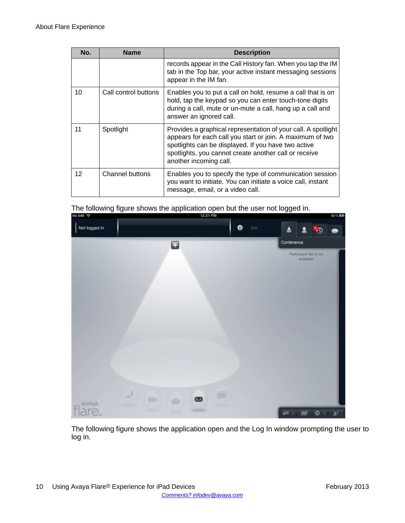| No. | <b>Name</b>          | <b>Description</b>                                                                                                                                                                                                                                                   |
|-----|----------------------|----------------------------------------------------------------------------------------------------------------------------------------------------------------------------------------------------------------------------------------------------------------------|
|     |                      | records appear in the Call History fan. When you tap the IM<br>tab in the Top bar, your active instant messaging sessions<br>appear in the IM fan.                                                                                                                   |
| 10  | Call control buttons | Enables you to put a call on hold, resume a call that is on<br>hold, tap the keypad so you can enter touch-tone digits<br>during a call, mute or un-mute a call, hang up a call and<br>answer an ignored call.                                                       |
| 11  | Spotlight            | Provides a graphical representation of your call. A spotlight<br>appears for each call you start or join. A maximum of two<br>spotlights can be displayed. If you have two active<br>spotlights, you cannot create another call or receive<br>another incoming call. |
| 12  | Channel buttons      | Enables you to specify the type of communication session<br>you want to initiate. You can initiate a voice call, instant<br>message, email, or a video call.                                                                                                         |

The following figure shows the application open but the user not logged in.

| No SIM 令      |                                   | 12:21 PM |          |            |                                      |                               | 42% 800   |
|---------------|-----------------------------------|----------|----------|------------|--------------------------------------|-------------------------------|-----------|
| Not logged in |                                   |          | $\infty$ | ≜          |                                      | $\mathbb{C}^1$ 1              | $\bullet$ |
|               | ο                                 |          |          | Conference |                                      |                               |           |
|               |                                   |          |          |            | Participant list is not<br>available |                               |           |
| flare.        | Ì<br><b>III</b><br>X<br>$\bullet$ | 画        |          | 2220       | $\blacksquare$                       | $\bullet$ $\bullet$ $\bullet$ |           |

The following figure shows the application open and the Log In window prompting the user to log in.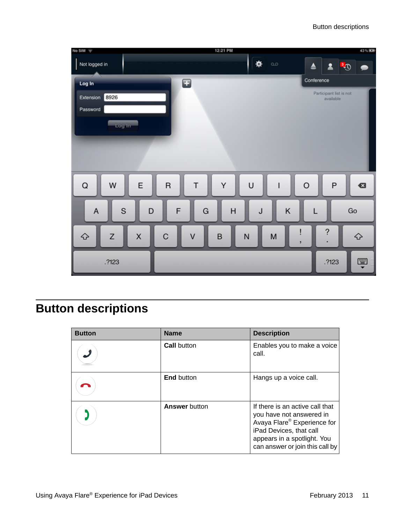<span id="page-10-0"></span>

| No SIM 令                        | 12:21 PM                   |                          |                                      | 43% (KD)  |
|---------------------------------|----------------------------|--------------------------|--------------------------------------|-----------|
| Not logged in                   |                            | $\infty$                 | $\mathbb{C}^1$ 2<br>≜                | ●         |
| Log In                          | 0                          |                          | Conference                           |           |
| 8926<br>Extension               |                            |                          | Participant list is not<br>available |           |
| Password                        |                            |                          |                                      |           |
| Log in                          |                            |                          |                                      |           |
|                                 |                            |                          |                                      |           |
|                                 |                            |                          |                                      |           |
|                                 |                            |                          |                                      |           |
| E<br>$\mathsf Q$<br>W           | Υ<br>$\mathsf R$<br>T      | U<br>I                   | P<br>O                               | $\bullet$ |
| $\mathbf S$<br>$\mathsf A$<br>D | F<br>G<br>H                | Κ<br>J                   | L                                    | Go        |
| ♦<br>$\mathsf Z$<br>X           | $\mathsf C$<br>$\vee$<br>B | N<br>M<br>$\overline{ }$ | ?<br>٠                               | ♦         |
| .?123                           |                            |                          | .?123                                | Ş         |

## **Button descriptions**

| <b>Button</b> | <b>Name</b>          | <b>Description</b>                                                                                                                                                                      |
|---------------|----------------------|-----------------------------------------------------------------------------------------------------------------------------------------------------------------------------------------|
|               | <b>Call button</b>   | Enables you to make a voice<br>call.                                                                                                                                                    |
|               | <b>End button</b>    | Hangs up a voice call.                                                                                                                                                                  |
|               | <b>Answer button</b> | If there is an active call that<br>you have not answered in<br>Avaya Flare® Experience for<br>iPad Devices, that call<br>appears in a spotlight. You<br>can answer or join this call by |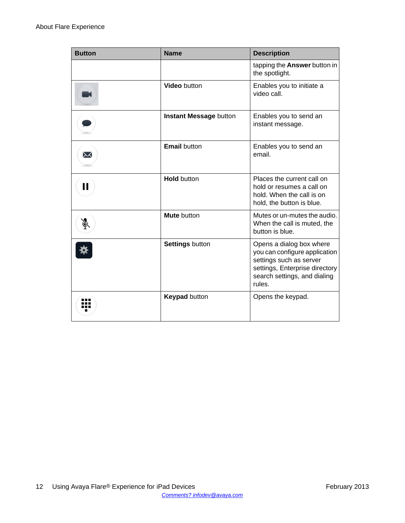| <b>Button</b> | <b>Name</b>                   | <b>Description</b>                                                                                                                                               |
|---------------|-------------------------------|------------------------------------------------------------------------------------------------------------------------------------------------------------------|
|               |                               | tapping the Answer button in<br>the spotlight.                                                                                                                   |
|               | <b>Video</b> button           | Enables you to initiate a<br>video call.                                                                                                                         |
|               | <b>Instant Message button</b> | Enables you to send an<br>instant message.                                                                                                                       |
| $\times$      | <b>Email button</b>           | Enables you to send an<br>email.                                                                                                                                 |
| Ш             | <b>Hold button</b>            | Places the current call on<br>hold or resumes a call on<br>hold. When the call is on<br>hold, the button is blue.                                                |
| Ž             | <b>Mute</b> button            | Mutes or un-mutes the audio.<br>When the call is muted, the<br>button is blue.                                                                                   |
|               | <b>Settings button</b>        | Opens a dialog box where<br>you can configure application<br>settings such as server<br>settings, Enterprise directory<br>search settings, and dialing<br>rules. |
|               | <b>Keypad button</b>          | Opens the keypad.                                                                                                                                                |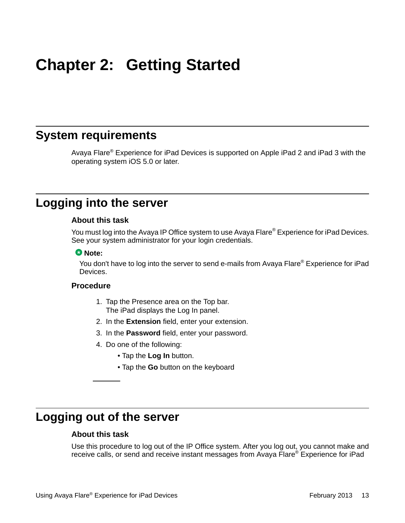# <span id="page-12-0"></span>**Chapter 2: Getting Started**

## **System requirements**

Avaya Flare® Experience for iPad Devices is supported on Apple iPad 2 and iPad 3 with the operating system iOS 5.0 or later.

## **Logging into the server**

#### **About this task**

You must log into the Avaya IP Office system to use Avaya Flare<sup>®</sup> Experience for iPad Devices. See your system administrator for your login credentials.

#### **Note:**

You don't have to log into the server to send e-mails from Avaya Flare® Experience for iPad Devices.

#### **Procedure**

- 1. Tap the Presence area on the Top bar. The iPad displays the Log In panel.
- 2. In the **Extension** field, enter your extension.
- 3. In the **Password** field, enter your password.
- 4. Do one of the following:
	- Tap the **Log In** button.
	- Tap the **Go** button on the keyboard

## **Logging out of the server**

#### **About this task**

Use this procedure to log out of the IP Office system. After you log out, you cannot make and receive calls, or send and receive instant messages from Avaya Flare® Experience for iPad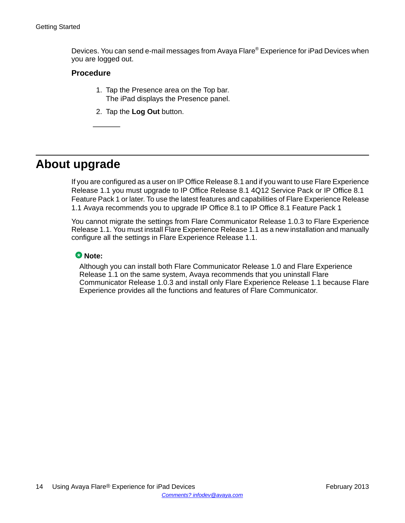<span id="page-13-0"></span>Devices. You can send e-mail messages from Avaya Flare® Experience for iPad Devices when you are logged out.

### **Procedure**

- 1. Tap the Presence area on the Top bar. The iPad displays the Presence panel.
- 2. Tap the **Log Out** button.

## **About upgrade**

If you are configured as a user on IP Office Release 8.1 and if you want to use Flare Experience Release 1.1 you must upgrade to IP Office Release 8.1 4Q12 Service Pack or IP Office 8.1 Feature Pack 1 or later. To use the latest features and capabilities of Flare Experience Release 1.1 Avaya recommends you to upgrade IP Office 8.1 to IP Office 8.1 Feature Pack 1

You cannot migrate the settings from Flare Communicator Release 1.0.3 to Flare Experience Release 1.1. You must install Flare Experience Release 1.1 as a new installation and manually configure all the settings in Flare Experience Release 1.1.

### **Note:**

Although you can install both Flare Communicator Release 1.0 and Flare Experience Release 1.1 on the same system, Avaya recommends that you uninstall Flare Communicator Release 1.0.3 and install only Flare Experience Release 1.1 because Flare Experience provides all the functions and features of Flare Communicator.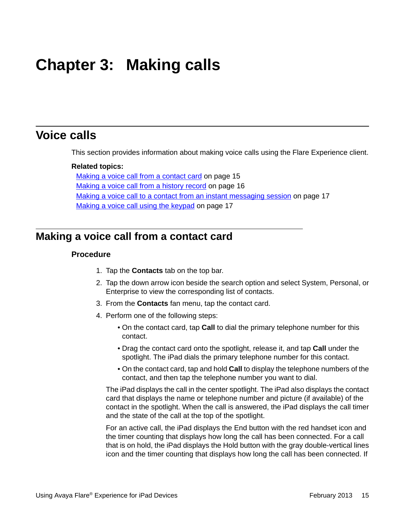# <span id="page-14-0"></span>**Chapter 3: Making calls**

## **Voice calls**

This section provides information about making voice calls using the Flare Experience client.

#### **Related topics:**

Making a voice call from a contact card on page 15 [Making a voice call from a history record](#page-15-0) on page 16 [Making a voice call to a contact from an instant messaging session](#page-16-0) on page 17 [Making a voice call using the keypad](#page-16-0) on page 17

## **Making a voice call from a contact card**

### **Procedure**

- 1. Tap the **Contacts** tab on the top bar.
- 2. Tap the down arrow icon beside the search option and select System, Personal, or Enterprise to view the corresponding list of contacts.
- 3. From the **Contacts** fan menu, tap the contact card.
- 4. Perform one of the following steps:
	- On the contact card, tap **Call** to dial the primary telephone number for this contact.
	- Drag the contact card onto the spotlight, release it, and tap **Call** under the spotlight. The iPad dials the primary telephone number for this contact.
	- On the contact card, tap and hold **Call** to display the telephone numbers of the contact, and then tap the telephone number you want to dial.

The iPad displays the call in the center spotlight. The iPad also displays the contact card that displays the name or telephone number and picture (if available) of the contact in the spotlight. When the call is answered, the iPad displays the call timer and the state of the call at the top of the spotlight.

For an active call, the iPad displays the End button with the red handset icon and the timer counting that displays how long the call has been connected. For a call that is on hold, the iPad displays the Hold button with the gray double-vertical lines icon and the timer counting that displays how long the call has been connected. If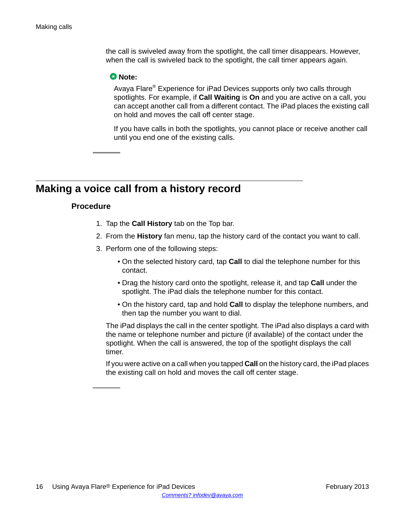<span id="page-15-0"></span>the call is swiveled away from the spotlight, the call timer disappears. However, when the call is swiveled back to the spotlight, the call timer appears again.

#### **Note:**

Avaya Flare® Experience for iPad Devices supports only two calls through spotlights. For example, if **Call Waiting** is **On** and you are active on a call, you can accept another call from a different contact. The iPad places the existing call on hold and moves the call off center stage.

If you have calls in both the spotlights, you cannot place or receive another call until you end one of the existing calls.

## **Making a voice call from a history record**

### **Procedure**

- 1. Tap the **Call History** tab on the Top bar.
- 2. From the **History** fan menu, tap the history card of the contact you want to call.
- 3. Perform one of the following steps:
	- On the selected history card, tap **Call** to dial the telephone number for this contact.
	- Drag the history card onto the spotlight, release it, and tap **Call** under the spotlight. The iPad dials the telephone number for this contact.
	- On the history card, tap and hold **Call** to display the telephone numbers, and then tap the number you want to dial.

The iPad displays the call in the center spotlight. The iPad also displays a card with the name or telephone number and picture (if available) of the contact under the spotlight. When the call is answered, the top of the spotlight displays the call timer.

If you were active on a call when you tapped **Call** on the history card, the iPad places the existing call on hold and moves the call off center stage.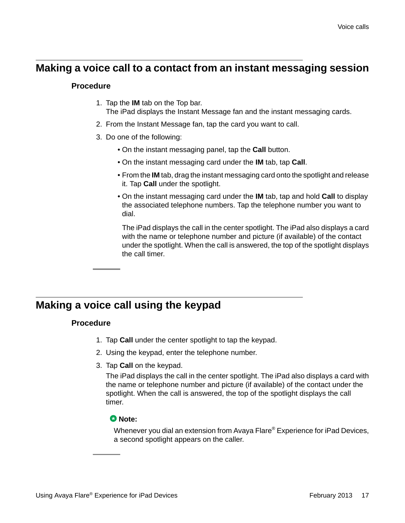## <span id="page-16-0"></span>**Making a voice call to a contact from an instant messaging session**

### **Procedure**

- 1. Tap the **IM** tab on the Top bar. The iPad displays the Instant Message fan and the instant messaging cards.
- 2. From the Instant Message fan, tap the card you want to call.
- 3. Do one of the following:
	- On the instant messaging panel, tap the **Call** button.
	- On the instant messaging card under the **IM** tab, tap **Call**.
	- From the **IM** tab, drag the instant messaging card onto the spotlight and release it. Tap **Call** under the spotlight.
	- On the instant messaging card under the **IM** tab, tap and hold **Call** to display the associated telephone numbers. Tap the telephone number you want to dial.

The iPad displays the call in the center spotlight. The iPad also displays a card with the name or telephone number and picture (if available) of the contact under the spotlight. When the call is answered, the top of the spotlight displays the call timer.

## **Making a voice call using the keypad**

## **Procedure**

- 1. Tap **Call** under the center spotlight to tap the keypad.
- 2. Using the keypad, enter the telephone number.
- 3. Tap **Call** on the keypad.

The iPad displays the call in the center spotlight. The iPad also displays a card with the name or telephone number and picture (if available) of the contact under the spotlight. When the call is answered, the top of the spotlight displays the call timer.

## **Note:**

Whenever you dial an extension from Avaya Flare® Experience for iPad Devices, a second spotlight appears on the caller.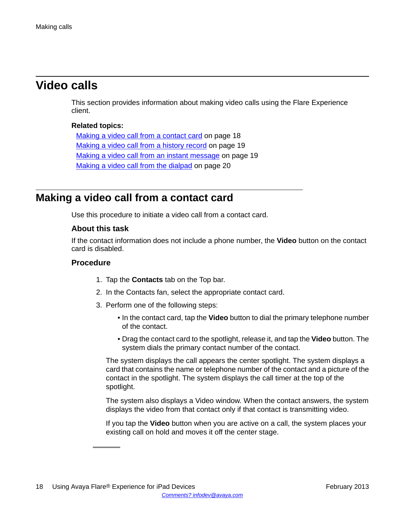## <span id="page-17-0"></span>**Video calls**

This section provides information about making video calls using the Flare Experience client.

### **Related topics:**

Making a video call from a contact card on page 18 [Making a video call from a history record](#page-18-0) on page 19 [Making a video call from an instant message](#page-18-0) on page 19 [Making a video call from the dialpad](#page-19-0) on page 20

## **Making a video call from a contact card**

Use this procedure to initiate a video call from a contact card.

### **About this task**

If the contact information does not include a phone number, the **Video** button on the contact card is disabled.

### **Procedure**

- 1. Tap the **Contacts** tab on the Top bar.
- 2. In the Contacts fan, select the appropriate contact card.
- 3. Perform one of the following steps:
	- In the contact card, tap the **Video** button to dial the primary telephone number of the contact.
	- Drag the contact card to the spotlight, release it, and tap the **Video** button. The system dials the primary contact number of the contact.

The system displays the call appears the center spotlight. The system displays a card that contains the name or telephone number of the contact and a picture of the contact in the spotlight. The system displays the call timer at the top of the spotlight.

The system also displays a Video window. When the contact answers, the system displays the video from that contact only if that contact is transmitting video.

If you tap the **Video** button when you are active on a call, the system places your existing call on hold and moves it off the center stage.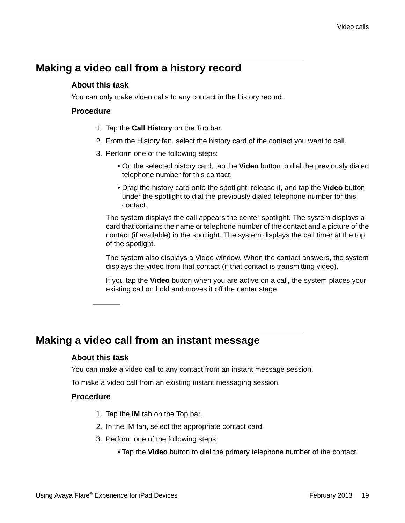## <span id="page-18-0"></span>**Making a video call from a history record**

## **About this task**

You can only make video calls to any contact in the history record.

### **Procedure**

- 1. Tap the **Call History** on the Top bar.
- 2. From the History fan, select the history card of the contact you want to call.
- 3. Perform one of the following steps:
	- On the selected history card, tap the **Video** button to dial the previously dialed telephone number for this contact.
	- Drag the history card onto the spotlight, release it, and tap the **Video** button under the spotlight to dial the previously dialed telephone number for this contact.

The system displays the call appears the center spotlight. The system displays a card that contains the name or telephone number of the contact and a picture of the contact (if available) in the spotlight. The system displays the call timer at the top of the spotlight.

The system also displays a Video window. When the contact answers, the system displays the video from that contact (if that contact is transmitting video).

If you tap the **Video** button when you are active on a call, the system places your existing call on hold and moves it off the center stage.

## **Making a video call from an instant message**

### **About this task**

You can make a video call to any contact from an instant message session.

To make a video call from an existing instant messaging session:

### **Procedure**

- 1. Tap the **IM** tab on the Top bar.
- 2. In the IM fan, select the appropriate contact card.
- 3. Perform one of the following steps:
	- Tap the **Video** button to dial the primary telephone number of the contact.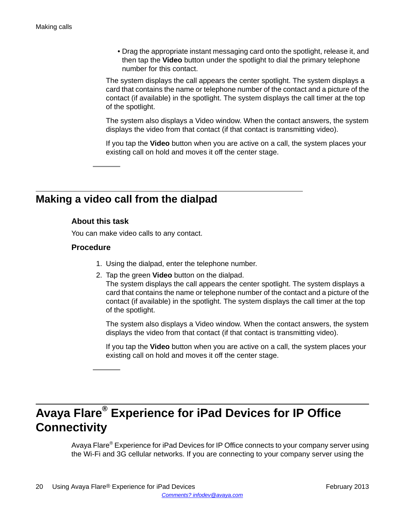<span id="page-19-0"></span>• Drag the appropriate instant messaging card onto the spotlight, release it, and then tap the **Video** button under the spotlight to dial the primary telephone number for this contact.

The system displays the call appears the center spotlight. The system displays a card that contains the name or telephone number of the contact and a picture of the contact (if available) in the spotlight. The system displays the call timer at the top of the spotlight.

The system also displays a Video window. When the contact answers, the system displays the video from that contact (if that contact is transmitting video).

If you tap the **Video** button when you are active on a call, the system places your existing call on hold and moves it off the center stage.

## **Making a video call from the dialpad**

### **About this task**

You can make video calls to any contact.

### **Procedure**

- 1. Using the dialpad, enter the telephone number.
- 2. Tap the green **Video** button on the dialpad.

The system displays the call appears the center spotlight. The system displays a card that contains the name or telephone number of the contact and a picture of the contact (if available) in the spotlight. The system displays the call timer at the top of the spotlight.

The system also displays a Video window. When the contact answers, the system displays the video from that contact (if that contact is transmitting video).

If you tap the **Video** button when you are active on a call, the system places your existing call on hold and moves it off the center stage.

## **Avaya Flare® Experience for iPad Devices for IP Office Connectivity**

Avaya Flare® Experience for iPad Devices for IP Office connects to your company server using the Wi-Fi and 3G cellular networks. If you are connecting to your company server using the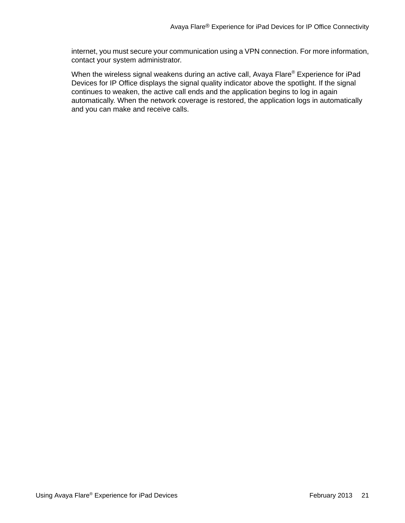internet, you must secure your communication using a VPN connection. For more information, contact your system administrator.

When the wireless signal weakens during an active call, Avaya Flare® Experience for iPad Devices for IP Office displays the signal quality indicator above the spotlight. If the signal continues to weaken, the active call ends and the application begins to log in again automatically. When the network coverage is restored, the application logs in automatically and you can make and receive calls.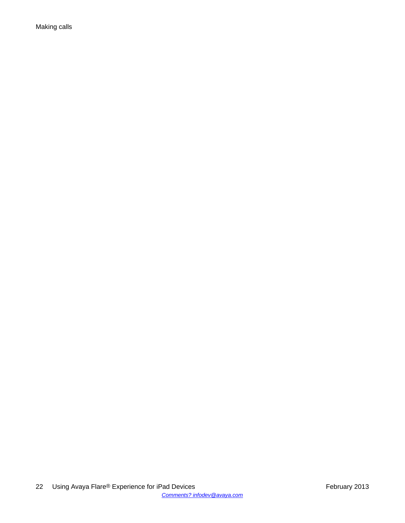Making calls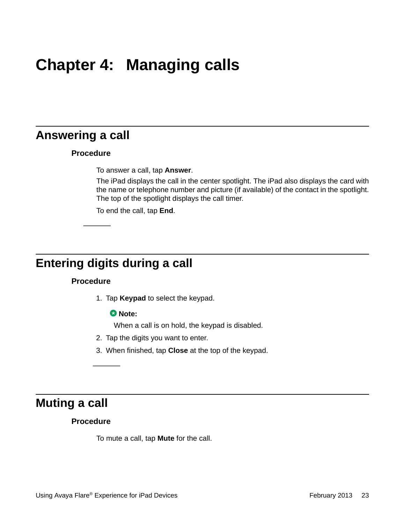# <span id="page-22-0"></span>**Chapter 4: Managing calls**

## **Answering a call**

### **Procedure**

To answer a call, tap **Answer**.

The iPad displays the call in the center spotlight. The iPad also displays the card with the name or telephone number and picture (if available) of the contact in the spotlight. The top of the spotlight displays the call timer.

To end the call, tap **End**.

## **Entering digits during a call**

### **Procedure**

1. Tap **Keypad** to select the keypad.

## **Note:**

When a call is on hold, the keypad is disabled.

- 2. Tap the digits you want to enter.
- 3. When finished, tap **Close** at the top of the keypad.

## **Muting a call**

### **Procedure**

To mute a call, tap **Mute** for the call.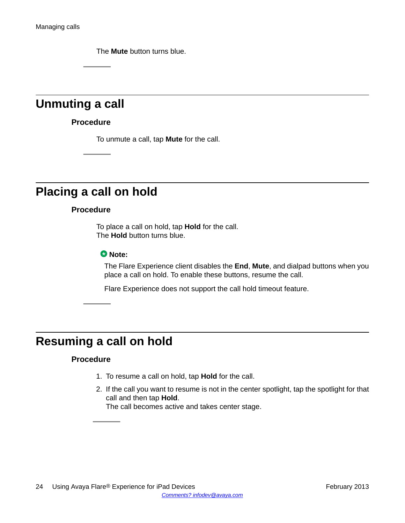The **Mute** button turns blue.

## <span id="page-23-0"></span>**Unmuting a call**

### **Procedure**

To unmute a call, tap **Mute** for the call.

## **Placing a call on hold**

### **Procedure**

To place a call on hold, tap **Hold** for the call. The **Hold** button turns blue.

### **Note:**

The Flare Experience client disables the **End**, **Mute**, and dialpad buttons when you place a call on hold. To enable these buttons, resume the call.

Flare Experience does not support the call hold timeout feature.

## **Resuming a call on hold**

### **Procedure**

- 1. To resume a call on hold, tap **Hold** for the call.
- 2. If the call you want to resume is not in the center spotlight, tap the spotlight for that call and then tap **Hold**.

The call becomes active and takes center stage.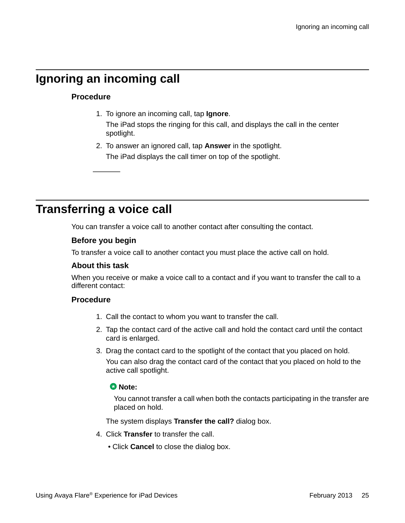## <span id="page-24-0"></span>**Ignoring an incoming call**

## **Procedure**

1. To ignore an incoming call, tap **Ignore**.

The iPad stops the ringing for this call, and displays the call in the center spotlight.

2. To answer an ignored call, tap **Answer** in the spotlight. The iPad displays the call timer on top of the spotlight.

## **Transferring a voice call**

You can transfer a voice call to another contact after consulting the contact.

### **Before you begin**

To transfer a voice call to another contact you must place the active call on hold.

#### **About this task**

When you receive or make a voice call to a contact and if you want to transfer the call to a different contact:

### **Procedure**

- 1. Call the contact to whom you want to transfer the call.
- 2. Tap the contact card of the active call and hold the contact card until the contact card is enlarged.
- 3. Drag the contact card to the spotlight of the contact that you placed on hold. You can also drag the contact card of the contact that you placed on hold to the active call spotlight.

### **Note:**

You cannot transfer a call when both the contacts participating in the transfer are placed on hold.

The system displays **Transfer the call?** dialog box.

- 4. Click **Transfer** to transfer the call.
	- Click **Cancel** to close the dialog box.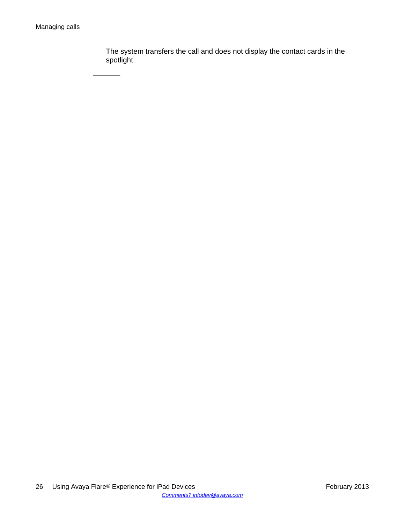The system transfers the call and does not display the contact cards in the spotlight.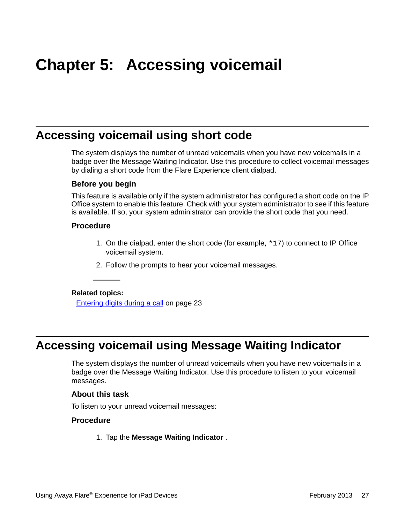# <span id="page-26-0"></span>**Chapter 5: Accessing voicemail**

## **Accessing voicemail using short code**

The system displays the number of unread voicemails when you have new voicemails in a badge over the Message Waiting Indicator. Use this procedure to collect voicemail messages by dialing a short code from the Flare Experience client dialpad.

### **Before you begin**

This feature is available only if the system administrator has configured a short code on the IP Office system to enable this feature. Check with your system administrator to see if this feature is available. If so, your system administrator can provide the short code that you need.

### **Procedure**

- 1. On the dialpad, enter the short code (for example, \*17) to connect to IP Office voicemail system.
- 2. Follow the prompts to hear your voicemail messages.

#### **Related topics:**

[Entering digits during a call](#page-22-0) on page 23

## **Accessing voicemail using Message Waiting Indicator**

The system displays the number of unread voicemails when you have new voicemails in a badge over the Message Waiting Indicator. Use this procedure to listen to your voicemail messages.

### **About this task**

To listen to your unread voicemail messages:

#### **Procedure**

1. Tap the **Message Waiting Indicator** .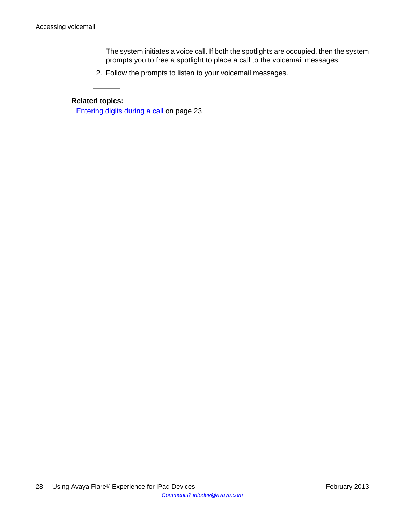The system initiates a voice call. If both the spotlights are occupied, then the system prompts you to free a spotlight to place a call to the voicemail messages.

2. Follow the prompts to listen to your voicemail messages.

### **Related topics:**

[Entering digits during a call](#page-22-0) on page 23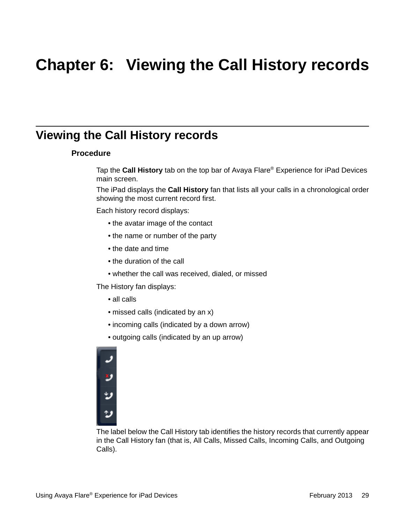# <span id="page-28-0"></span>**Chapter 6: Viewing the Call History records**

## **Viewing the Call History records**

### **Procedure**

Tap the **Call History** tab on the top bar of Avaya Flare® Experience for iPad Devices main screen.

The iPad displays the **Call History** fan that lists all your calls in a chronological order showing the most current record first.

Each history record displays:

- the avatar image of the contact
- the name or number of the party
- the date and time
- the duration of the call
- whether the call was received, dialed, or missed

The History fan displays:

- all calls
- missed calls (indicated by an x)
- incoming calls (indicated by a down arrow)
- outgoing calls (indicated by an up arrow)



The label below the Call History tab identifies the history records that currently appear in the Call History fan (that is, All Calls, Missed Calls, Incoming Calls, and Outgoing Calls).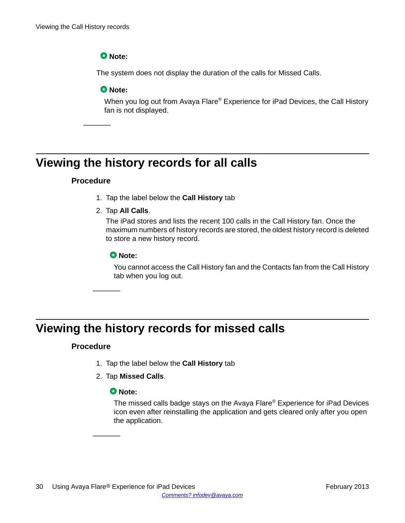## <span id="page-29-0"></span> **Note:**

The system does not display the duration of the calls for Missed Calls.

### **Note:**

When you log out from Avaya Flare® Experience for iPad Devices, the Call History fan is not displayed.

## **Viewing the history records for all calls**

### **Procedure**

- 1. Tap the label below the **Call History** tab
- 2. Tap **All Calls**.

The iPad stores and lists the recent 100 calls in the Call History fan. Once the maximum numbers of history records are stored, the oldest history record is deleted to store a new history record.

## **Note:**

You cannot access the Call History fan and the Contacts fan from the Call History tab when you log out.

## **Viewing the history records for missed calls**

## **Procedure**

- 1. Tap the label below the **Call History** tab
- 2. Tap **Missed Calls**.

### **Note:**

The missed calls badge stays on the Avaya Flare® Experience for iPad Devices icon even after reinstalling the application and gets cleared only after you open the application.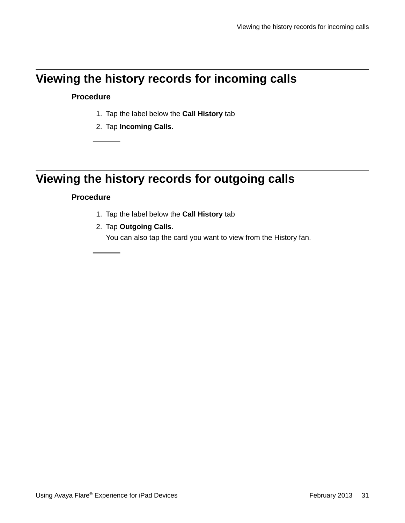## <span id="page-30-0"></span>**Viewing the history records for incoming calls**

## **Procedure**

- 1. Tap the label below the **Call History** tab
- 2. Tap **Incoming Calls**.

## **Viewing the history records for outgoing calls**

## **Procedure**

- 1. Tap the label below the **Call History** tab
- 2. Tap **Outgoing Calls**.

You can also tap the card you want to view from the History fan.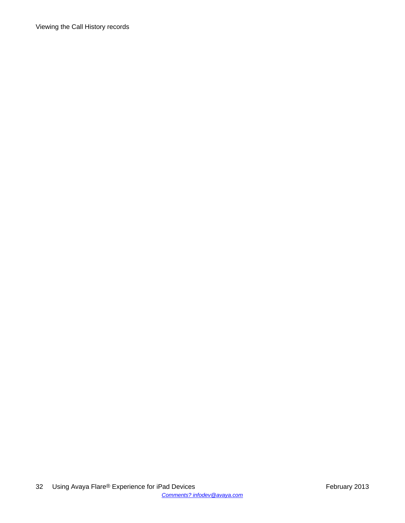Viewing the Call History records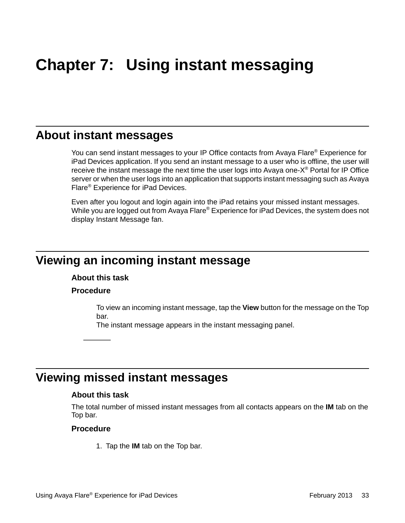# <span id="page-32-0"></span>**Chapter 7: Using instant messaging**

## **About instant messages**

You can send instant messages to your IP Office contacts from Avaya Flare® Experience for iPad Devices application. If you send an instant message to a user who is offline, the user will receive the instant message the next time the user logs into Avaya one- $X^{\circledast}$  Portal for IP Office server or when the user logs into an application that supports instant messaging such as Avaya Flare® Experience for iPad Devices.

Even after you logout and login again into the iPad retains your missed instant messages. While you are logged out from Avaya Flare® Experience for iPad Devices, the system does not display Instant Message fan.

## **Viewing an incoming instant message**

### **About this task**

### **Procedure**

To view an incoming instant message, tap the **View** button for the message on the Top bar.

The instant message appears in the instant messaging panel.

## **Viewing missed instant messages**

### **About this task**

The total number of missed instant messages from all contacts appears on the **IM** tab on the Top bar.

### **Procedure**

1. Tap the **IM** tab on the Top bar.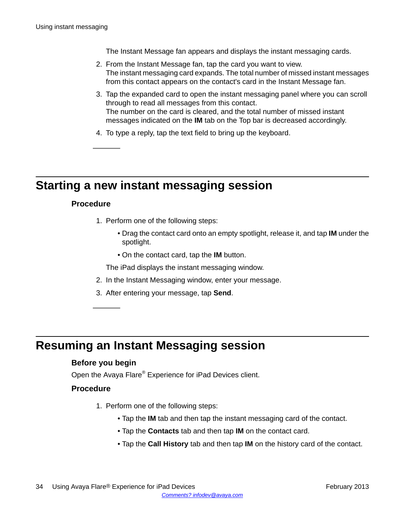The Instant Message fan appears and displays the instant messaging cards.

- <span id="page-33-0"></span>2. From the Instant Message fan, tap the card you want to view. The instant messaging card expands. The total number of missed instant messages from this contact appears on the contact's card in the Instant Message fan.
- 3. Tap the expanded card to open the instant messaging panel where you can scroll through to read all messages from this contact. The number on the card is cleared, and the total number of missed instant messages indicated on the **IM** tab on the Top bar is decreased accordingly.
- 4. To type a reply, tap the text field to bring up the keyboard.

## **Starting a new instant messaging session**

## **Procedure**

- 1. Perform one of the following steps:
	- Drag the contact card onto an empty spotlight, release it, and tap **IM** under the spotlight.
	- On the contact card, tap the **IM** button.

The iPad displays the instant messaging window.

- 2. In the Instant Messaging window, enter your message.
- 3. After entering your message, tap **Send**.

## **Resuming an Instant Messaging session**

## **Before you begin**

Open the Avaya Flare® Experience for iPad Devices client.

## **Procedure**

- 1. Perform one of the following steps:
	- Tap the **IM** tab and then tap the instant messaging card of the contact.
	- Tap the **Contacts** tab and then tap **IM** on the contact card.
	- Tap the **Call History** tab and then tap **IM** on the history card of the contact.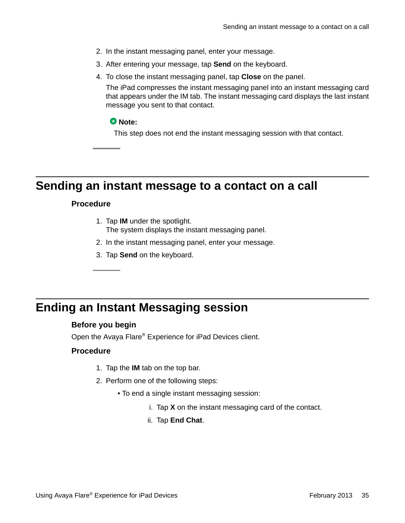- <span id="page-34-0"></span>2. In the instant messaging panel, enter your message.
- 3. After entering your message, tap **Send** on the keyboard.
- 4. To close the instant messaging panel, tap **Close** on the panel.

The iPad compresses the instant messaging panel into an instant messaging card that appears under the IM tab. The instant messaging card displays the last instant message you sent to that contact.

#### **Note:**

This step does not end the instant messaging session with that contact.

## **Sending an instant message to a contact on a call**

### **Procedure**

- 1. Tap **IM** under the spotlight. The system displays the instant messaging panel.
- 2. In the instant messaging panel, enter your message.
- 3. Tap **Send** on the keyboard.

## **Ending an Instant Messaging session**

### **Before you begin**

Open the Avaya Flare® Experience for iPad Devices client.

### **Procedure**

- 1. Tap the **IM** tab on the top bar.
- 2. Perform one of the following steps:
	- To end a single instant messaging session:
		- i. Tap **X** on the instant messaging card of the contact.
		- ii. Tap **End Chat**.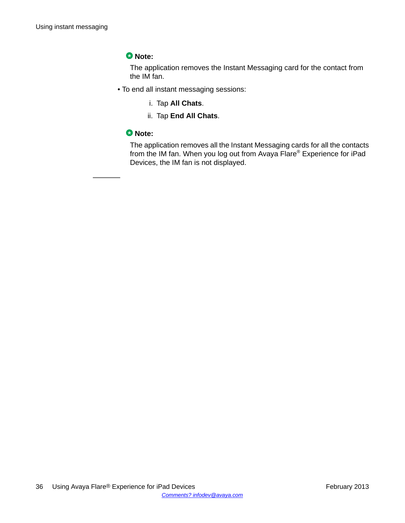## **Note:**

The application removes the Instant Messaging card for the contact from the IM fan.

- To end all instant messaging sessions:
	- i. Tap **All Chats**.
	- ii. Tap **End All Chats**.

## **Note:**

The application removes all the Instant Messaging cards for all the contacts from the IM fan. When you log out from Avaya Flare® Experience for iPad Devices, the IM fan is not displayed.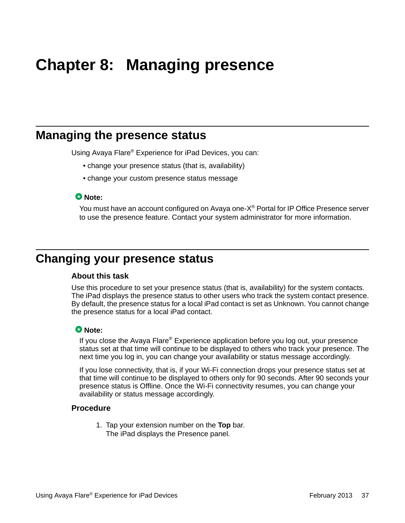# <span id="page-36-0"></span>**Chapter 8: Managing presence**

## **Managing the presence status**

Using Avaya Flare® Experience for iPad Devices, you can:

- change your presence status (that is, availability)
- change your custom presence status message

### **Note:**

You must have an account configured on Avaya one-X® Portal for IP Office Presence server to use the presence feature. Contact your system administrator for more information.

## **Changing your presence status**

### **About this task**

Use this procedure to set your presence status (that is, availability) for the system contacts. The iPad displays the presence status to other users who track the system contact presence. By default, the presence status for a local iPad contact is set as Unknown. You cannot change the presence status for a local iPad contact.

#### **Note:**

If you close the Avaya Flare® Experience application before you log out, your presence status set at that time will continue to be displayed to others who track your presence. The next time you log in, you can change your availability or status message accordingly.

If you lose connectivity, that is, if your Wi-Fi connection drops your presence status set at that time will continue to be displayed to others only for 90 seconds. After 90 seconds your presence status is Offline. Once the Wi-Fi connectivity resumes, you can change your availability or status message accordingly.

### **Procedure**

1. Tap your extension number on the **Top** bar. The iPad displays the Presence panel.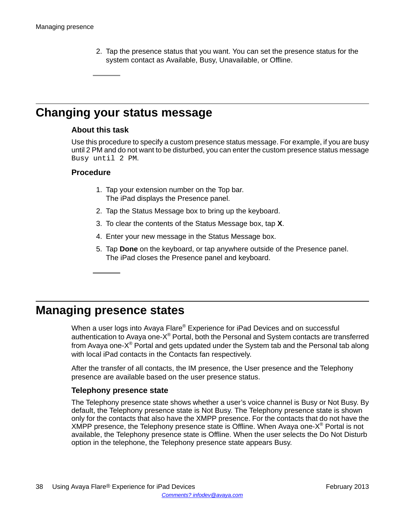<span id="page-37-0"></span>2. Tap the presence status that you want. You can set the presence status for the system contact as Available, Busy, Unavailable, or Offline.

## **Changing your status message**

### **About this task**

Use this procedure to specify a custom presence status message. For example, if you are busy until 2 PM and do not want to be disturbed, you can enter the custom presence status message Busy until 2 PM.

### **Procedure**

- 1. Tap your extension number on the Top bar. The iPad displays the Presence panel.
- 2. Tap the Status Message box to bring up the keyboard.
- 3. To clear the contents of the Status Message box, tap **X**.
- 4. Enter your new message in the Status Message box.
- 5. Tap **Done** on the keyboard, or tap anywhere outside of the Presence panel. The iPad closes the Presence panel and keyboard.

## **Managing presence states**

When a user logs into Avaya Flare® Experience for iPad Devices and on successful authentication to Avaya one-X® Portal, both the Personal and System contacts are transferred from Avaya one- $X^{\circledast}$  Portal and gets updated under the System tab and the Personal tab along with local iPad contacts in the Contacts fan respectively.

After the transfer of all contacts, the IM presence, the User presence and the Telephony presence are available based on the user presence status.

### **Telephony presence state**

The Telephony presence state shows whether a user's voice channel is Busy or Not Busy. By default, the Telephony presence state is Not Busy. The Telephony presence state is shown only for the contacts that also have the XMPP presence. For the contacts that do not have the XMPP presence, the Telephony presence state is Offline. When Avaya one-X<sup>®</sup> Portal is not available, the Telephony presence state is Offline. When the user selects the Do Not Disturb option in the telephone, the Telephony presence state appears Busy.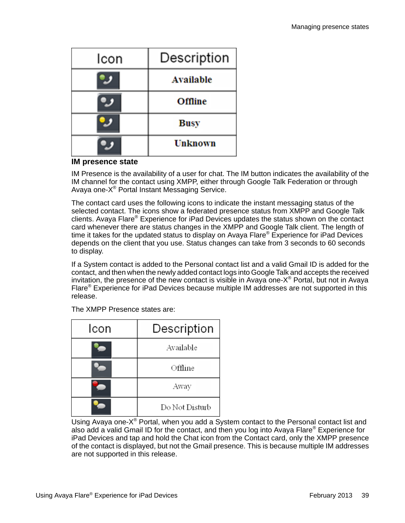| Icon | Description      |
|------|------------------|
|      | <b>Available</b> |
|      | <b>Offline</b>   |
|      | Busy             |
|      | <b>Unknown</b>   |

#### **IM presence state**

IM Presence is the availability of a user for chat. The IM button indicates the availability of the IM channel for the contact using XMPP, either through Google Talk Federation or through Avaya one-X® Portal Instant Messaging Service.

The contact card uses the following icons to indicate the instant messaging status of the selected contact. The icons show a federated presence status from XMPP and Google Talk clients. Avaya Flare® Experience for iPad Devices updates the status shown on the contact card whenever there are status changes in the XMPP and Google Talk client. The length of time it takes for the updated status to display on Avaya Flare® Experience for iPad Devices depends on the client that you use. Status changes can take from 3 seconds to 60 seconds to display.

If a System contact is added to the Personal contact list and a valid Gmail ID is added for the contact, and then when the newly added contact logs into Google Talk and accepts the received invitation, the presence of the new contact is visible in Avaya one-X® Portal, but not in Avaya Flare<sup>®</sup> Experience for iPad Devices because multiple IM addresses are not supported in this release.

| Icon | Description    |
|------|----------------|
|      | Available      |
|      | Offline        |
|      | Away           |
|      | Do Not Disturb |

The XMPP Presence states are:

Using Avaya one-X<sup>®</sup> Portal, when you add a System contact to the Personal contact list and also add a valid Gmail ID for the contact, and then you log into Avaya Flare® Experience for iPad Devices and tap and hold the Chat icon from the Contact card, only the XMPP presence of the contact is displayed, but not the Gmail presence. This is because multiple IM addresses are not supported in this release.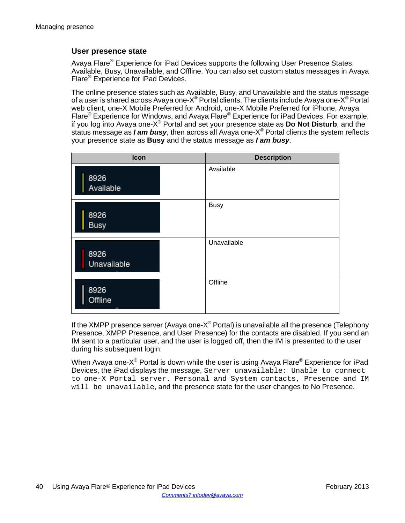## **User presence state**

Avaya Flare<sup>®</sup> Experience for iPad Devices supports the following User Presence States: Available, Busy, Unavailable, and Offline. You can also set custom status messages in Avaya Flare® Experience for iPad Devices.

The online presence states such as Available, Busy, and Unavailable and the status message of a user is shared across Avaya one-X® Portal clients. The clients include Avaya one-X® Portal web client, one-X Mobile Preferred for Android, one-X Mobile Preferred for iPhone, Avaya Flare<sup>®</sup> Experience for Windows, and Avaya Flare<sup>®</sup> Experience for iPad Devices. For example, if you log into Avaya one-X® Portal and set your presence state as **Do Not Disturb**, and the status message as *I am busy*, then across all Avaya one-X® Portal clients the system reflects your presence state as **Busy** and the status message as *I am busy*.

| Icon                | <b>Description</b> |
|---------------------|--------------------|
| 8926<br>Available   | Available          |
| 8926<br><b>Busy</b> | <b>Busy</b>        |
| 8926<br>Unavailable | Unavailable        |
| 8926<br>Offline     | Offline            |

If the XMPP presence server (Avaya one-X® Portal) is unavailable all the presence (Telephony Presence, XMPP Presence, and User Presence) for the contacts are disabled. If you send an IM sent to a particular user, and the user is logged off, then the IM is presented to the user during his subsequent login.

When Avaya one-X® Portal is down while the user is using Avaya Flare® Experience for iPad Devices, the iPad displays the message, Server unavailable: Unable to connect to one-X Portal server. Personal and System contacts, Presence and IM will be unavailable, and the presence state for the user changes to No Presence.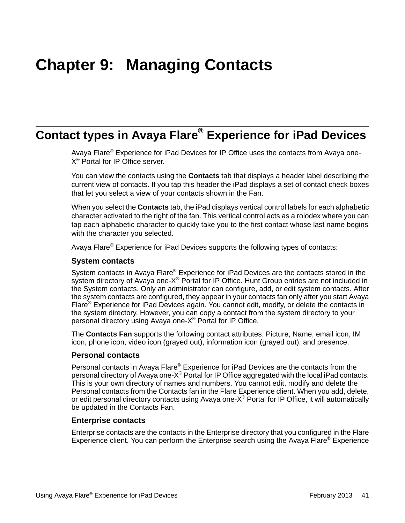# <span id="page-40-0"></span>**Chapter 9: Managing Contacts**

## **Contact types in Avaya Flare® Experience for iPad Devices**

Avaya Flare® Experience for iPad Devices for IP Office uses the contacts from Avaya one-X ® Portal for IP Office server.

You can view the contacts using the **Contacts** tab that displays a header label describing the current view of contacts. If you tap this header the iPad displays a set of contact check boxes that let you select a view of your contacts shown in the Fan.

When you select the **Contacts** tab, the iPad displays vertical control labels for each alphabetic character activated to the right of the fan. This vertical control acts as a rolodex where you can tap each alphabetic character to quickly take you to the first contact whose last name begins with the character you selected.

Avaya Flare<sup>®</sup> Experience for iPad Devices supports the following types of contacts:

#### **System contacts**

System contacts in Avaya Flare® Experience for iPad Devices are the contacts stored in the system directory of Avaya one-X® Portal for IP Office. Hunt Group entries are not included in the System contacts. Only an administrator can configure, add, or edit system contacts. After the system contacts are configured, they appear in your contacts fan only after you start Avaya Flare® Experience for iPad Devices again. You cannot edit, modify, or delete the contacts in the system directory. However, you can copy a contact from the system directory to your personal directory using Avaya one-X® Portal for IP Office.

The **Contacts Fan** supports the following contact attributes: Picture, Name, email icon, IM icon, phone icon, video icon (grayed out), information icon (grayed out), and presence.

#### **Personal contacts**

Personal contacts in Avaya Flare® Experience for iPad Devices are the contacts from the personal directory of Avaya one-X® Portal for IP Office aggregated with the local iPad contacts. This is your own directory of names and numbers. You cannot edit, modify and delete the Personal contacts from the Contacts fan in the Flare Experience client. When you add, delete, or edit personal directory contacts using Avaya one-X<sup>®</sup> Portal for IP Office, it will automatically be updated in the Contacts Fan.

#### **Enterprise contacts**

Enterprise contacts are the contacts in the Enterprise directory that you configured in the Flare Experience client. You can perform the Enterprise search using the Avaya Flare® Experience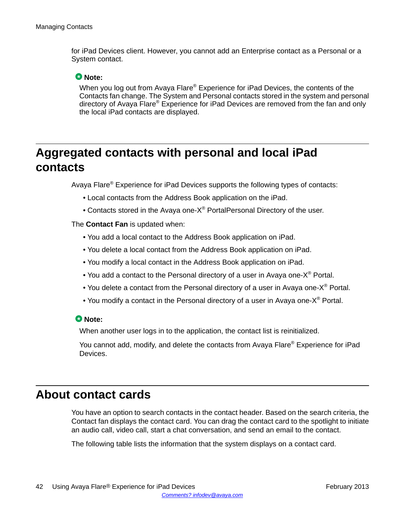<span id="page-41-0"></span>for iPad Devices client. However, you cannot add an Enterprise contact as a Personal or a System contact.

#### **Note:**

When you log out from Avaya Flare® Experience for iPad Devices, the contents of the Contacts fan change. The System and Personal contacts stored in the system and personal directory of Avaya Flare® Experience for iPad Devices are removed from the fan and only the local iPad contacts are displayed.

## **Aggregated contacts with personal and local iPad contacts**

Avaya Flare<sup>®</sup> Experience for iPad Devices supports the following types of contacts:

- Local contacts from the Address Book application on the iPad.
- Contacts stored in the Avaya one-X® PortalPersonal Directory of the user.

The **Contact Fan** is updated when:

- You add a local contact to the Address Book application on iPad.
- You delete a local contact from the Address Book application on iPad.
- You modify a local contact in the Address Book application on iPad.
- You add a contact to the Personal directory of a user in Avaya one- $X^{\circledast}$  Portal.
- You delete a contact from the Personal directory of a user in Avaya one-X<sup>®</sup> Portal.
- You modify a contact in the Personal directory of a user in Avaya one-X® Portal.

### **Note:**

When another user logs in to the application, the contact list is reinitialized.

You cannot add, modify, and delete the contacts from Avaya Flare® Experience for iPad Devices.

## **About contact cards**

You have an option to search contacts in the contact header. Based on the search criteria, the Contact fan displays the contact card. You can drag the contact card to the spotlight to initiate an audio call, video call, start a chat conversation, and send an email to the contact.

The following table lists the information that the system displays on a contact card.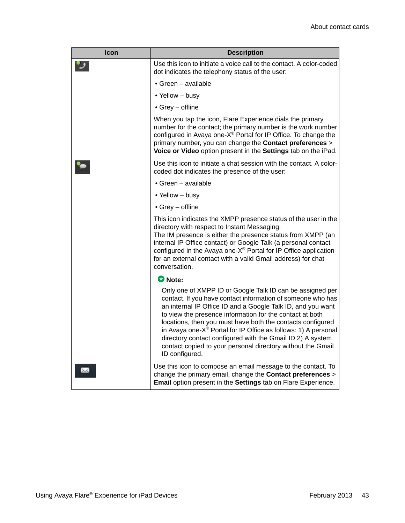| <b>Icon</b> | <b>Description</b>                                                                                                                                                                                                                                                                                                                                                                                                                                                                                                                                 |
|-------------|----------------------------------------------------------------------------------------------------------------------------------------------------------------------------------------------------------------------------------------------------------------------------------------------------------------------------------------------------------------------------------------------------------------------------------------------------------------------------------------------------------------------------------------------------|
|             | Use this icon to initiate a voice call to the contact. A color-coded<br>dot indicates the telephony status of the user:                                                                                                                                                                                                                                                                                                                                                                                                                            |
|             | $\bullet$ Green – available                                                                                                                                                                                                                                                                                                                                                                                                                                                                                                                        |
|             | • Yellow - busy                                                                                                                                                                                                                                                                                                                                                                                                                                                                                                                                    |
|             | $\bullet$ Grey - offline                                                                                                                                                                                                                                                                                                                                                                                                                                                                                                                           |
|             | When you tap the icon, Flare Experience dials the primary<br>number for the contact; the primary number is the work number<br>configured in Avaya one-X® Portal for IP Office. To change the<br>primary number, you can change the Contact preferences ><br>Voice or Video option present in the Settings tab on the iPad.                                                                                                                                                                                                                         |
|             | Use this icon to initiate a chat session with the contact. A color-<br>coded dot indicates the presence of the user:                                                                                                                                                                                                                                                                                                                                                                                                                               |
|             | $\bullet$ Green – available                                                                                                                                                                                                                                                                                                                                                                                                                                                                                                                        |
|             | • Yellow - busy                                                                                                                                                                                                                                                                                                                                                                                                                                                                                                                                    |
|             | $\bullet$ Grey - offline                                                                                                                                                                                                                                                                                                                                                                                                                                                                                                                           |
|             | This icon indicates the XMPP presence status of the user in the<br>directory with respect to Instant Messaging.<br>The IM presence is either the presence status from XMPP (an<br>internal IP Office contact) or Google Talk (a personal contact<br>configured in the Avaya one- $X^{\circledast}$ Portal for IP Office application<br>for an external contact with a valid Gmail address) for chat<br>conversation.                                                                                                                               |
|             | <b>Ø</b> Note:                                                                                                                                                                                                                                                                                                                                                                                                                                                                                                                                     |
|             | Only one of XMPP ID or Google Talk ID can be assigned per<br>contact. If you have contact information of someone who has<br>an internal IP Office ID and a Google Talk ID, and you want<br>to view the presence information for the contact at both<br>locations, then you must have both the contacts configured<br>in Avaya one- $X^{\circledast}$ Portal for IP Office as follows: 1) A personal<br>directory contact configured with the Gmail ID 2) A system<br>contact copied to your personal directory without the Gmail<br>ID configured. |
|             | Use this icon to compose an email message to the contact. To<br>change the primary email, change the Contact preferences ><br>Email option present in the Settings tab on Flare Experience.                                                                                                                                                                                                                                                                                                                                                        |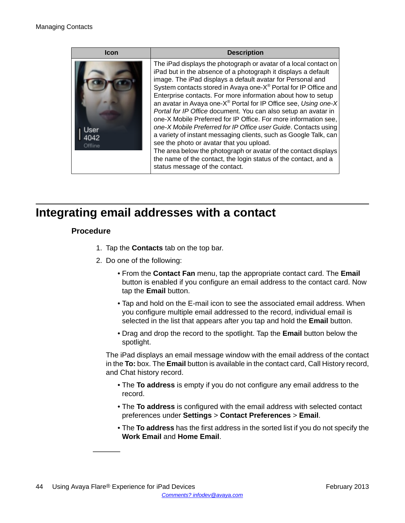<span id="page-43-0"></span>

| Icon    | <b>Description</b>                                                                                                                                                                                                                                                                                                                                                                                                                                                                                                                                                                                                                                                                                                                                                                                                                                                                                                    |
|---------|-----------------------------------------------------------------------------------------------------------------------------------------------------------------------------------------------------------------------------------------------------------------------------------------------------------------------------------------------------------------------------------------------------------------------------------------------------------------------------------------------------------------------------------------------------------------------------------------------------------------------------------------------------------------------------------------------------------------------------------------------------------------------------------------------------------------------------------------------------------------------------------------------------------------------|
| Offline | The iPad displays the photograph or avatar of a local contact on<br>iPad but in the absence of a photograph it displays a default<br>image. The iPad displays a default avatar for Personal and<br>System contacts stored in Avaya one-X® Portal for IP Office and<br>Enterprise contacts. For more information about how to setup<br>an avatar in Avaya one- $X^{\circledast}$ Portal for IP Office see, Using one-X<br>Portal for IP Office document. You can also setup an avatar in<br>one-X Mobile Preferred for IP Office. For more information see,<br>one-X Mobile Preferred for IP Office user Guide. Contacts using<br>a variety of instant messaging clients, such as Google Talk, can<br>see the photo or avatar that you upload.<br>The area below the photograph or avatar of the contact displays<br>the name of the contact, the login status of the contact, and a<br>status message of the contact. |

## **Integrating email addresses with a contact**

## **Procedure**

- 1. Tap the **Contacts** tab on the top bar.
- 2. Do one of the following:
	- From the **Contact Fan** menu, tap the appropriate contact card. The **Email** button is enabled if you configure an email address to the contact card. Now tap the **Email** button.
	- Tap and hold on the E-mail icon to see the associated email address. When you configure multiple email addressed to the record, individual email is selected in the list that appears after you tap and hold the **Email** button.
	- Drag and drop the record to the spotlight. Tap the **Email** button below the spotlight.

The iPad displays an email message window with the email address of the contact in the **To:** box. The **Email** button is available in the contact card, Call History record, and Chat history record.

- The **To address** is empty if you do not configure any email address to the record.
- The **To address** is configured with the email address with selected contact preferences under **Settings** > **Contact Preferences** > **Email**.
- The **To address** has the first address in the sorted list if you do not specify the **Work Email** and **Home Email**.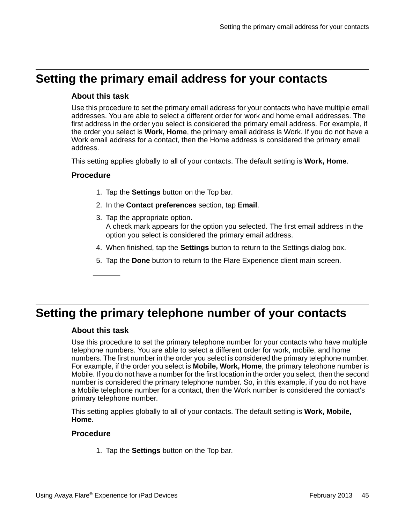## <span id="page-44-0"></span>**Setting the primary email address for your contacts**

## **About this task**

Use this procedure to set the primary email address for your contacts who have multiple email addresses. You are able to select a different order for work and home email addresses. The first address in the order you select is considered the primary email address. For example, if the order you select is **Work, Home**, the primary email address is Work. If you do not have a Work email address for a contact, then the Home address is considered the primary email address.

This setting applies globally to all of your contacts. The default setting is **Work, Home**.

### **Procedure**

- 1. Tap the **Settings** button on the Top bar.
- 2. In the **Contact preferences** section, tap **Email**.
- 3. Tap the appropriate option.
	- A check mark appears for the option you selected. The first email address in the option you select is considered the primary email address.
- 4. When finished, tap the **Settings** button to return to the Settings dialog box.
- 5. Tap the **Done** button to return to the Flare Experience client main screen.

## **Setting the primary telephone number of your contacts**

### **About this task**

Use this procedure to set the primary telephone number for your contacts who have multiple telephone numbers. You are able to select a different order for work, mobile, and home numbers. The first number in the order you select is considered the primary telephone number. For example, if the order you select is **Mobile, Work, Home**, the primary telephone number is Mobile. If you do not have a number for the first location in the order you select, then the second number is considered the primary telephone number. So, in this example, if you do not have a Mobile telephone number for a contact, then the Work number is considered the contact's primary telephone number.

This setting applies globally to all of your contacts. The default setting is **Work, Mobile, Home**.

### **Procedure**

1. Tap the **Settings** button on the Top bar.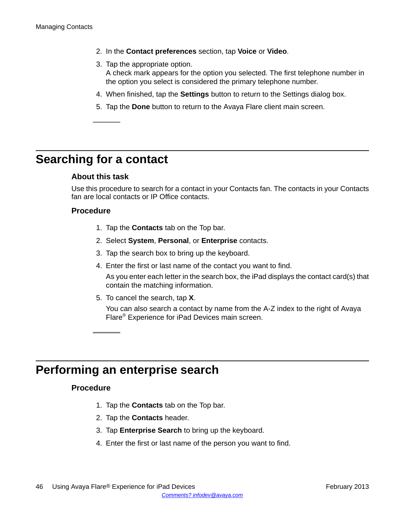- <span id="page-45-0"></span>2. In the **Contact preferences** section, tap **Voice** or **Video**.
- 3. Tap the appropriate option. A check mark appears for the option you selected. The first telephone number in the option you select is considered the primary telephone number.
- 4. When finished, tap the **Settings** button to return to the Settings dialog box.
- 5. Tap the **Done** button to return to the Avaya Flare client main screen.

## **Searching for a contact**

## **About this task**

Use this procedure to search for a contact in your Contacts fan. The contacts in your Contacts fan are local contacts or IP Office contacts.

### **Procedure**

- 1. Tap the **Contacts** tab on the Top bar.
- 2. Select **System**, **Personal**, or **Enterprise** contacts.
- 3. Tap the search box to bring up the keyboard.
- 4. Enter the first or last name of the contact you want to find.

As you enter each letter in the search box, the iPad displays the contact card(s) that contain the matching information.

5. To cancel the search, tap **X**.

You can also search a contact by name from the A-Z index to the right of Avaya Flare® Experience for iPad Devices main screen.

## **Performing an enterprise search**

### **Procedure**

- 1. Tap the **Contacts** tab on the Top bar.
- 2. Tap the **Contacts** header.
- 3. Tap **Enterprise Search** to bring up the keyboard.
- 4. Enter the first or last name of the person you want to find.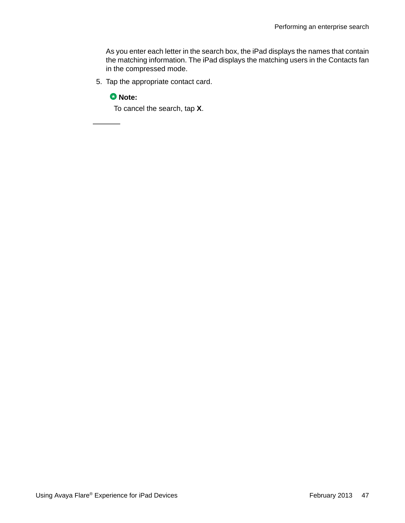As you enter each letter in the search box, the iPad displays the names that contain the matching information. The iPad displays the matching users in the Contacts fan in the compressed mode.

5. Tap the appropriate contact card.

## **Note:**

To cancel the search, tap **X**.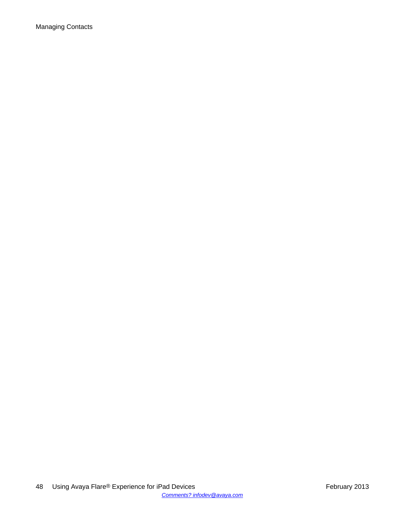Managing Contacts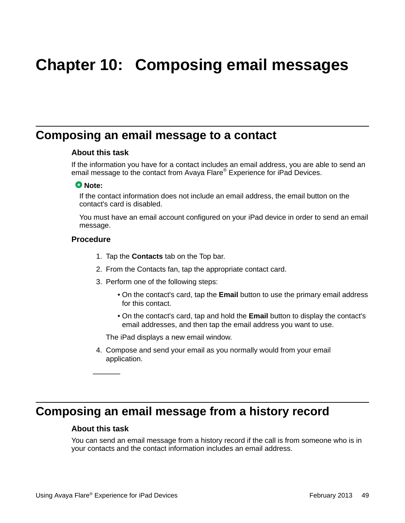# <span id="page-48-0"></span>**Chapter 10: Composing email messages**

## **Composing an email message to a contact**

#### **About this task**

If the information you have for a contact includes an email address, you are able to send an email message to the contact from Avaya Flare® Experience for iPad Devices.

#### **Note:**

If the contact information does not include an email address, the email button on the contact's card is disabled.

You must have an email account configured on your iPad device in order to send an email message.

### **Procedure**

- 1. Tap the **Contacts** tab on the Top bar.
- 2. From the Contacts fan, tap the appropriate contact card.
- 3. Perform one of the following steps:
	- On the contact's card, tap the **Email** button to use the primary email address for this contact.
	- On the contact's card, tap and hold the **Email** button to display the contact's email addresses, and then tap the email address you want to use.

The iPad displays a new email window.

4. Compose and send your email as you normally would from your email application.

## **Composing an email message from a history record**

### **About this task**

You can send an email message from a history record if the call is from someone who is in your contacts and the contact information includes an email address.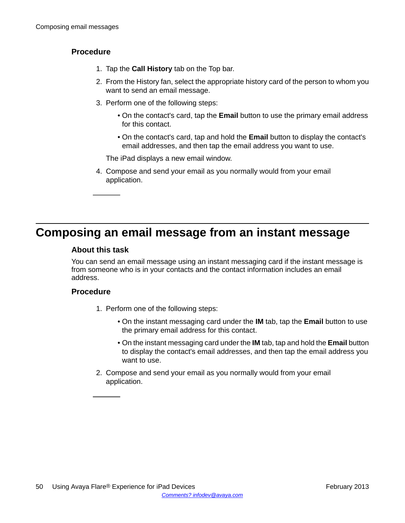## <span id="page-49-0"></span>**Procedure**

- 1. Tap the **Call History** tab on the Top bar.
- 2. From the History fan, select the appropriate history card of the person to whom you want to send an email message.
- 3. Perform one of the following steps:
	- On the contact's card, tap the **Email** button to use the primary email address for this contact.
	- On the contact's card, tap and hold the **Email** button to display the contact's email addresses, and then tap the email address you want to use.

The iPad displays a new email window.

4. Compose and send your email as you normally would from your email application.

## **Composing an email message from an instant message**

### **About this task**

You can send an email message using an instant messaging card if the instant message is from someone who is in your contacts and the contact information includes an email address.

## **Procedure**

- 1. Perform one of the following steps:
	- On the instant messaging card under the **IM** tab, tap the **Email** button to use the primary email address for this contact.
	- On the instant messaging card under the **IM** tab, tap and hold the **Email** button to display the contact's email addresses, and then tap the email address you want to use.
- 2. Compose and send your email as you normally would from your email application.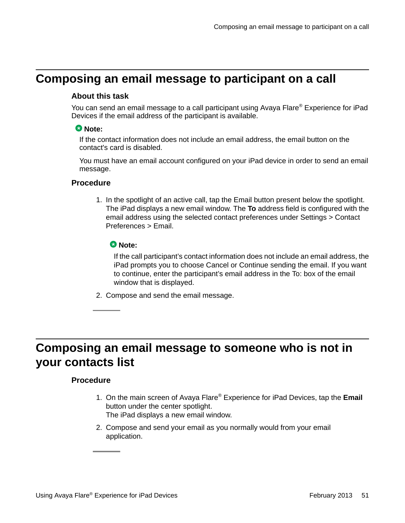## <span id="page-50-0"></span>**Composing an email message to participant on a call**

## **About this task**

You can send an email message to a call participant using Avaya Flare® Experience for iPad Devices if the email address of the participant is available.

## **Note:**

If the contact information does not include an email address, the email button on the contact's card is disabled.

You must have an email account configured on your iPad device in order to send an email message.

## **Procedure**

1. In the spotlight of an active call, tap the Email button present below the spotlight. The iPad displays a new email window. The **To** address field is configured with the email address using the selected contact preferences under Settings > Contact Preferences > Email.

## **Note:**

If the call participant's contact information does not include an email address, the iPad prompts you to choose Cancel or Continue sending the email. If you want to continue, enter the participant's email address in the To: box of the email window that is displayed.

2. Compose and send the email message.

## **Composing an email message to someone who is not in your contacts list**

## **Procedure**

- 1. On the main screen of Avaya Flare® Experience for iPad Devices, tap the **Email** button under the center spotlight. The iPad displays a new email window.
- 2. Compose and send your email as you normally would from your email application.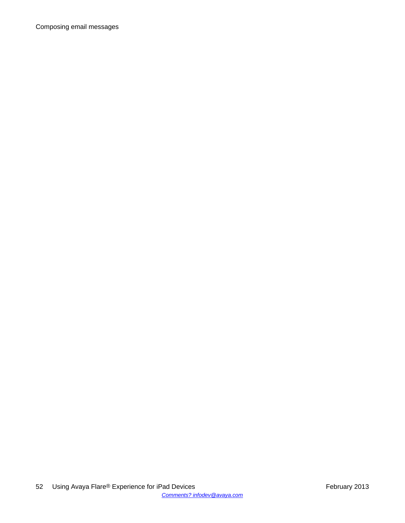Composing email messages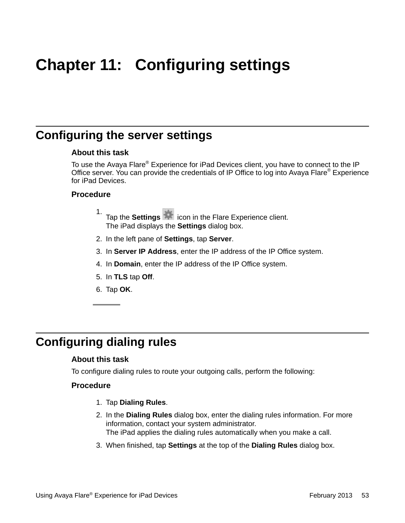# <span id="page-52-0"></span>**Chapter 11: Configuring settings**

## **Configuring the server settings**

### **About this task**

To use the Avaya Flare® Experience for iPad Devices client, you have to connect to the IP Office server. You can provide the credentials of IP Office to log into Avaya Flare® Experience for iPad Devices.

### **Procedure**

- 1. Tap the **Settings idea** icon in the Flare Experience client. The iPad displays the **Settings** dialog box.
- 2. In the left pane of **Settings**, tap **Server**.
- 3. In **Server IP Address**, enter the IP address of the IP Office system.
- 4. In **Domain**, enter the IP address of the IP Office system.
- 5. In **TLS** tap **Off**.
- 6. Tap **OK**.

## **Configuring dialing rules**

### **About this task**

To configure dialing rules to route your outgoing calls, perform the following:

### **Procedure**

- 1. Tap **Dialing Rules**.
- 2. In the **Dialing Rules** dialog box, enter the dialing rules information. For more information, contact your system administrator. The iPad applies the dialing rules automatically when you make a call.
- 3. When finished, tap **Settings** at the top of the **Dialing Rules** dialog box.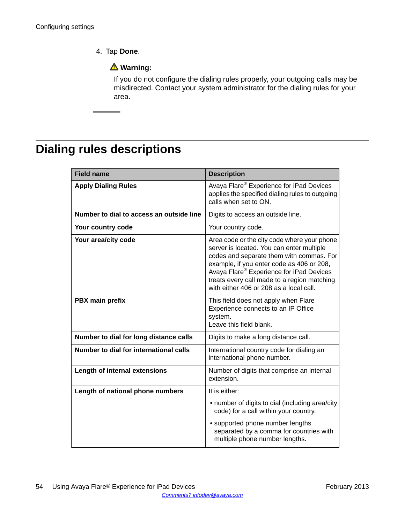## <span id="page-53-0"></span>4. Tap **Done**.

## **Warning:**

If you do not configure the dialing rules properly, your outgoing calls may be misdirected. Contact your system administrator for the dialing rules for your area.

## **Dialing rules descriptions**

| <b>Field name</b>                        | <b>Description</b>                                                                                                                                                                                                                                                                                                                  |
|------------------------------------------|-------------------------------------------------------------------------------------------------------------------------------------------------------------------------------------------------------------------------------------------------------------------------------------------------------------------------------------|
| <b>Apply Dialing Rules</b>               | Avaya Flare <sup>®</sup> Experience for iPad Devices<br>applies the specified dialing rules to outgoing<br>calls when set to ON.                                                                                                                                                                                                    |
| Number to dial to access an outside line | Digits to access an outside line.                                                                                                                                                                                                                                                                                                   |
| Your country code                        | Your country code.                                                                                                                                                                                                                                                                                                                  |
| Your area/city code                      | Area code or the city code where your phone<br>server is located. You can enter multiple<br>codes and separate them with commas. For<br>example, if you enter code as 406 or 208,<br>Avaya Flare <sup>®</sup> Experience for iPad Devices<br>treats every call made to a region matching<br>with either 406 or 208 as a local call. |
| PBX main prefix                          | This field does not apply when Flare<br>Experience connects to an IP Office<br>system.<br>Leave this field blank.                                                                                                                                                                                                                   |
| Number to dial for long distance calls   | Digits to make a long distance call.                                                                                                                                                                                                                                                                                                |
| Number to dial for international calls   | International country code for dialing an<br>international phone number.                                                                                                                                                                                                                                                            |
| Length of internal extensions            | Number of digits that comprise an internal<br>extension.                                                                                                                                                                                                                                                                            |
| Length of national phone numbers         | It is either:                                                                                                                                                                                                                                                                                                                       |
|                                          | • number of digits to dial (including area/city<br>code) for a call within your country.                                                                                                                                                                                                                                            |
|                                          | • supported phone number lengths<br>separated by a comma for countries with<br>multiple phone number lengths.                                                                                                                                                                                                                       |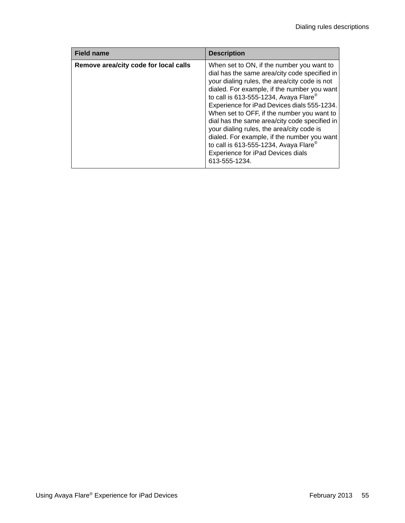| <b>Field name</b>                     | <b>Description</b>                                                                                                                                                                                                                                                                                                                                                                                                                                                                                                                                                           |
|---------------------------------------|------------------------------------------------------------------------------------------------------------------------------------------------------------------------------------------------------------------------------------------------------------------------------------------------------------------------------------------------------------------------------------------------------------------------------------------------------------------------------------------------------------------------------------------------------------------------------|
| Remove area/city code for local calls | When set to ON, if the number you want to<br>dial has the same area/city code specified in<br>your dialing rules, the area/city code is not<br>dialed. For example, if the number you want<br>to call is 613-555-1234, Avaya Flare®<br>Experience for iPad Devices dials 555-1234.<br>When set to OFF, if the number you want to<br>dial has the same area/city code specified in<br>your dialing rules, the area/city code is<br>dialed. For example, if the number you want<br>to call is 613-555-1234, Avaya Flare®<br>Experience for iPad Devices dials<br>613-555-1234. |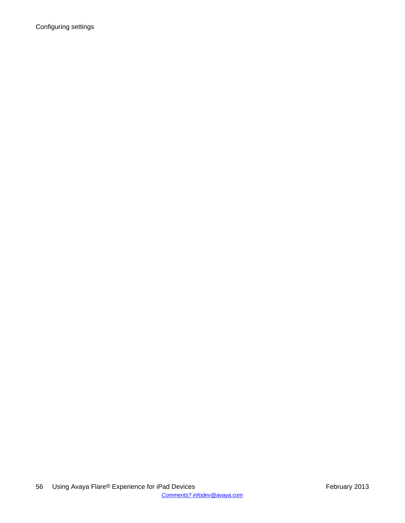Configuring settings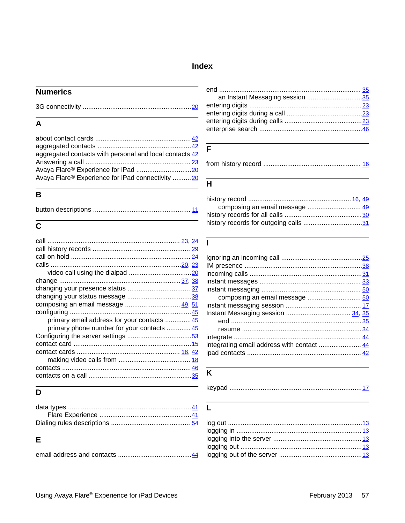## **Index**

## <span id="page-56-0"></span>**Numerics**

|--|--|

## **A**

| aggregated contacts with personal and local contacts 42 |  |
|---------------------------------------------------------|--|
|                                                         |  |
|                                                         |  |
| Avaya Flare® Experience for iPad connectivity 20        |  |

## **B**

## **C**

| composing an email message  49, 51          |  |
|---------------------------------------------|--|
|                                             |  |
| primary email address for your contacts  45 |  |
| primary phone number for your contacts  45  |  |
|                                             |  |
|                                             |  |
|                                             |  |
|                                             |  |
|                                             |  |
|                                             |  |
|                                             |  |

## **D**

## **E**

|--|--|

| an Instant Messaging session 35 |  |
|---------------------------------|--|
|                                 |  |
|                                 |  |
|                                 |  |
|                                 |  |
|                                 |  |

## **F**

|--|--|--|

## **H**

## **I**

| composing an email message  50 |  |
|--------------------------------|--|
|                                |  |
|                                |  |
|                                |  |
|                                |  |
|                                |  |
|                                |  |
|                                |  |
|                                |  |

## **K**

|--|

## **L**